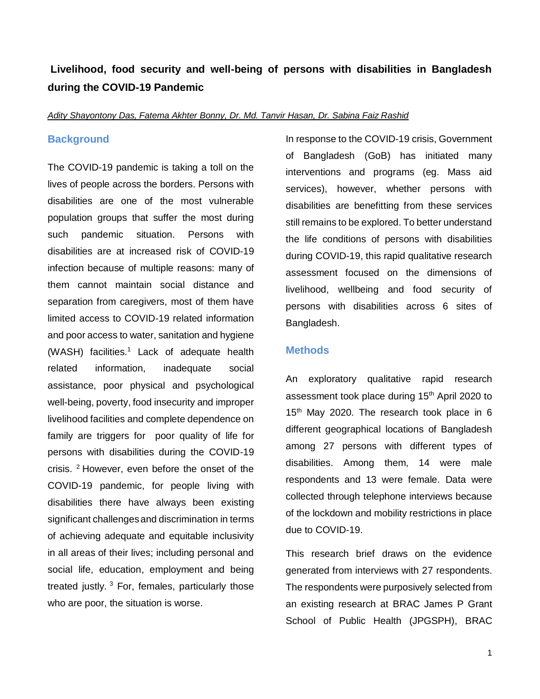# **Livelihood, food security and well-being of persons with disabilities in Bangladesh during the COVID-19 Pandemic**

*Adity Shayontony Das, Fatema Akhter Bonny, Dr. Md. Tanvir Hasan, Dr. Sabina Faiz Rashid*

### **Background**

The COVID-19 pandemic is taking a toll on the lives of people across the borders. Persons with disabilities are one of the most vulnerable population groups that suffer the most during such pandemic situation. Persons with disabilities are at increased risk of COVID-19 infection because of multiple reasons: many of them cannot maintain social distance and separation from caregivers, most of them have limited access to COVID-19 related information and poor access to water, sanitation and hygiene (WASH) facilities.<sup>1</sup> Lack of adequate health related information, inadequate social assistance, poor physical and psychological well-being, poverty, food insecurity and improper livelihood facilities and complete dependence on family are triggers for poor quality of life for persons with disabilities during the COVID-19 crisis. <sup>2</sup> However, even before the onset of the COVID-19 pandemic, for people living with disabilities there have always been existing significant challengesand discrimination in terms of achieving adequate and equitable inclusivity in all areas of their lives; including personal and social life, education, employment and being treated justly.<sup>3</sup> For, females, particularly those who are poor, the situation is worse.

In response to the COVID-19 crisis, Government of Bangladesh (GoB) has initiated many interventions and programs (eg. Mass aid services), however, whether persons with disabilities are benefitting from these services still remains to be explored. To better understand the life conditions of persons with disabilities during COVID-19, this rapid qualitative research assessment focused on the dimensions of livelihood, wellbeing and food security of persons with disabilities across 6 sites of Bangladesh.

### **Methods**

An exploratory qualitative rapid research assessment took place during 15<sup>th</sup> April 2020 to 15<sup>th</sup> May 2020. The research took place in 6 different geographical locations of Bangladesh among 27 persons with different types of disabilities. Among them, 14 were male respondents and 13 were female. Data were collected through telephone interviews because of the lockdown and mobility restrictions in place due to COVID-19.

This research brief draws on the evidence generated from interviews with 27 respondents. The respondents were purposively selected from an existing research at BRAC James P Grant School of Public Health (JPGSPH), BRAC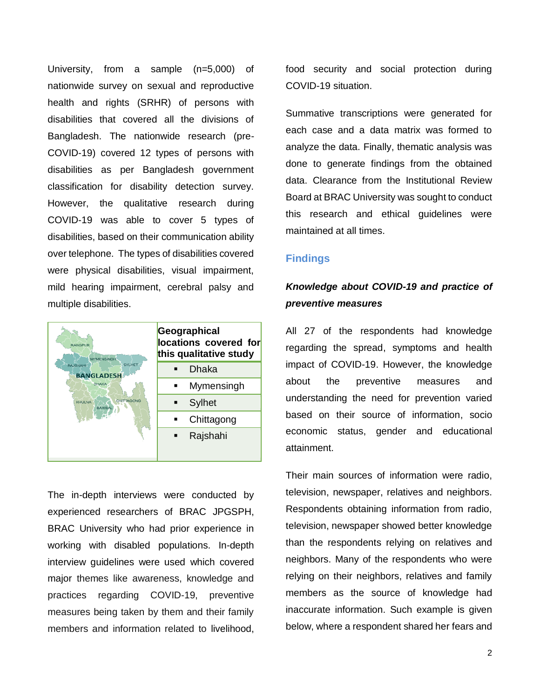University, from a sample (n=5,000) of nationwide survey on sexual and reproductive health and rights (SRHR) of persons with disabilities that covered all the divisions of Bangladesh. The nationwide research (pre-COVID-19) covered 12 types of persons with disabilities as per Bangladesh government classification for disability detection survey. However, the qualitative research during COVID-19 was able to cover 5 types of disabilities, based on their communication ability over telephone. The types of disabilities covered were physical disabilities, visual impairment, mild hearing impairment, cerebral palsy and multiple disabilities.



The in-depth interviews were conducted by experienced researchers of BRAC JPGSPH, BRAC University who had prior experience in working with disabled populations. In-depth interview guidelines were used which covered major themes like awareness, knowledge and practices regarding COVID-19, preventive measures being taken by them and their family members and information related to livelihood,

food security and social protection during COVID-19 situation.

Summative transcriptions were generated for each case and a data matrix was formed to analyze the data. Finally, thematic analysis was done to generate findings from the obtained data. Clearance from the Institutional Review Board at BRAC University was sought to conduct this research and ethical guidelines were maintained at all times.

### **Findings**

## *Knowledge about COVID-19 and practice of preventive measures*

All 27 of the respondents had knowledge regarding the spread, symptoms and health impact of COVID-19. However, the knowledge about the preventive measures and understanding the need for prevention varied based on their source of information, socio economic status, gender and educational attainment.

Their main sources of information were radio, television, newspaper, relatives and neighbors. Respondents obtaining information from radio, television, newspaper showed better knowledge than the respondents relying on relatives and neighbors. Many of the respondents who were relying on their neighbors, relatives and family members as the source of knowledge had inaccurate information. Such example is given below, where a respondent shared her fears and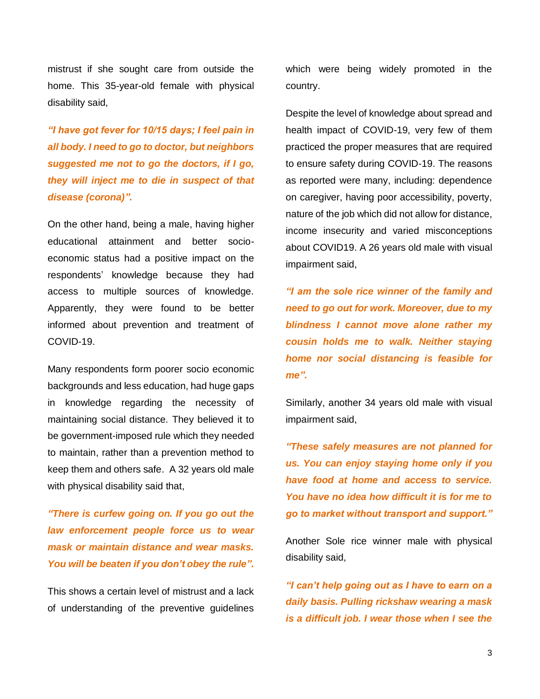mistrust if she sought care from outside the home. This 35-year-old female with physical disability said,

*"I have got fever for 10/15 days; I feel pain in all body. I need to go to doctor, but neighbors suggested me not to go the doctors, if I go, they will inject me to die in suspect of that disease (corona)".*

On the other hand, being a male, having higher educational attainment and better socioeconomic status had a positive impact on the respondents' knowledge because they had access to multiple sources of knowledge. Apparently, they were found to be better informed about prevention and treatment of COVID-19.

Many respondents form poorer socio economic backgrounds and less education, had huge gaps in knowledge regarding the necessity of maintaining social distance. They believed it to be government-imposed rule which they needed to maintain, rather than a prevention method to keep them and others safe. A 32 years old male with physical disability said that,

*"There is curfew going on. If you go out the law enforcement people force us to wear mask or maintain distance and wear masks. You will be beaten if you don't obey the rule".*

This shows a certain level of mistrust and a lack of understanding of the preventive guidelines

which were being widely promoted in the country.

Despite the level of knowledge about spread and health impact of COVID-19, very few of them practiced the proper measures that are required to ensure safety during COVID-19. The reasons as reported were many, including: dependence on caregiver, having poor accessibility, poverty, nature of the job which did not allow for distance, income insecurity and varied misconceptions about COVID19. A 26 years old male with visual impairment said,

*"I am the sole rice winner of the family and need to go out for work. Moreover, due to my blindness I cannot move alone rather my cousin holds me to walk. Neither staying home nor social distancing is feasible for me".*

Similarly, another 34 years old male with visual impairment said,

*"These safely measures are not planned for us. You can enjoy staying home only if you have food at home and access to service. You have no idea how difficult it is for me to go to market without transport and support."*

Another Sole rice winner male with physical disability said,

*"I can't help going out as I have to earn on a daily basis. Pulling rickshaw wearing a mask is a difficult job. I wear those when I see the*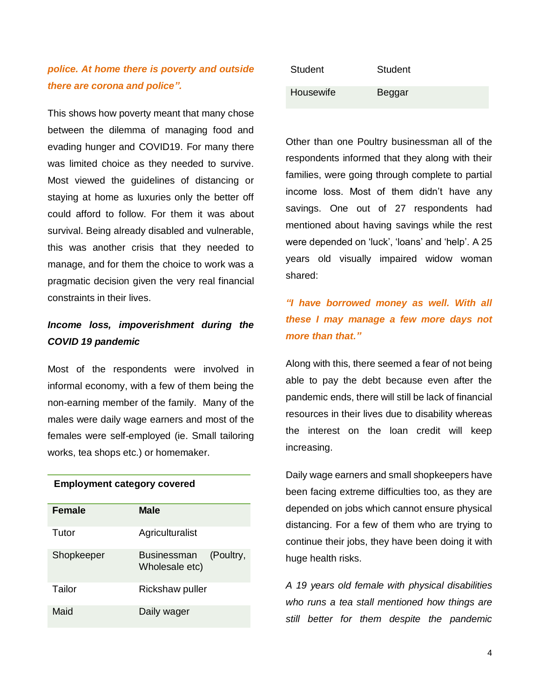## *police. At home there is poverty and outside there are corona and police".*

This shows how poverty meant that many chose between the dilemma of managing food and evading hunger and COVID19. For many there was limited choice as they needed to survive. Most viewed the guidelines of distancing or staying at home as luxuries only the better off could afford to follow. For them it was about survival. Being already disabled and vulnerable, this was another crisis that they needed to manage, and for them the choice to work was a pragmatic decision given the very real financial constraints in their lives.

# *Income loss, impoverishment during the COVID 19 pandemic*

Most of the respondents were involved in informal economy, with a few of them being the non-earning member of the family. Many of the males were daily wage earners and most of the females were self-employed (ie. Small tailoring works, tea shops etc.) or homemaker.

#### **Employment category covered**

| <b>Female</b> | <b>Male</b>                                       |
|---------------|---------------------------------------------------|
| Tutor         | Agriculturalist                                   |
| Shopkeeper    | (Poultry,<br><b>Businessman</b><br>Wholesale etc) |
| Tailor        | Rickshaw puller                                   |
| Maid          | Daily wager                                       |

| Student   | Student |
|-----------|---------|
| Housewife | Beggar  |

Other than one Poultry businessman all of the respondents informed that they along with their families, were going through complete to partial income loss. Most of them didn't have any savings. One out of 27 respondents had mentioned about having savings while the rest were depended on 'luck', 'loans' and 'help'. A 25 years old visually impaired widow woman shared:

# *"I have borrowed money as well. With all these I may manage a few more days not more than that."*

Along with this, there seemed a fear of not being able to pay the debt because even after the pandemic ends, there will still be lack of financial resources in their lives due to disability whereas the interest on the loan credit will keep increasing.

Daily wage earners and small shopkeepers have been facing extreme difficulties too, as they are depended on jobs which cannot ensure physical distancing. For a few of them who are trying to continue their jobs, they have been doing it with huge health risks.

*A 19 years old female with physical disabilities who runs a tea stall mentioned how things are still better for them despite the pandemic*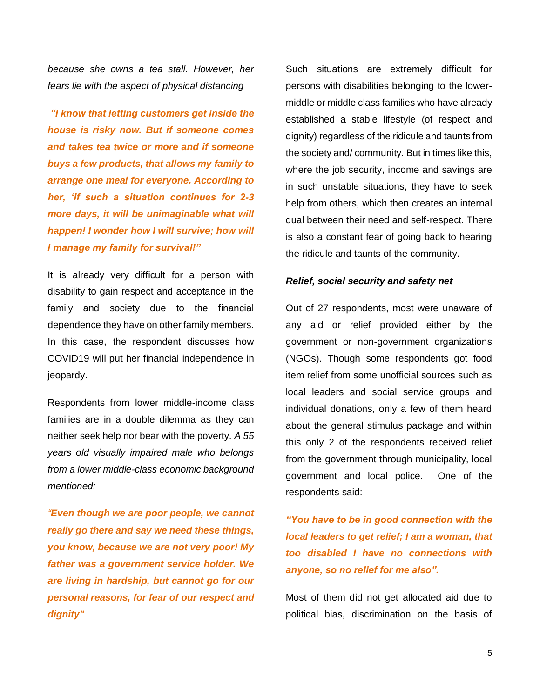*because she owns a tea stall. However, her fears lie with the aspect of physical distancing*

*"I know that letting customers get inside the house is risky now. But if someone comes and takes tea twice or more and if someone buys a few products, that allows my family to arrange one meal for everyone. According to her, 'If such a situation continues for 2-3 more days, it will be unimaginable what will happen! I wonder how I will survive; how will I manage my family for survival!"*

It is already very difficult for a person with disability to gain respect and acceptance in the family and society due to the financial dependence they have on other family members. In this case, the respondent discusses how COVID19 will put her financial independence in jeopardy.

Respondents from lower middle-income class families are in a double dilemma as they can neither seek help nor bear with the poverty. *A 55 years old visually impaired male who belongs from a lower middle-class economic background mentioned:* 

*"Even though we are poor people, we cannot really go there and say we need these things, you know, because we are not very poor! My father was a government service holder. We are living in hardship, but cannot go for our personal reasons, for fear of our respect and dignity"*

Such situations are extremely difficult for persons with disabilities belonging to the lowermiddle or middle class families who have already established a stable lifestyle (of respect and dignity) regardless of the ridicule and taunts from the society and/ community. But in times like this, where the job security, income and savings are in such unstable situations, they have to seek help from others, which then creates an internal dual between their need and self-respect. There is also a constant fear of going back to hearing the ridicule and taunts of the community.

### *Relief, social security and safety net*

Out of 27 respondents, most were unaware of any aid or relief provided either by the government or non-government organizations (NGOs). Though some respondents got food item relief from some unofficial sources such as local leaders and social service groups and individual donations, only a few of them heard about the general stimulus package and within this only 2 of the respondents received relief from the government through municipality, local government and local police. One of the respondents said:

*"You have to be in good connection with the local leaders to get relief; I am a woman, that too disabled I have no connections with anyone, so no relief for me also".*

Most of them did not get allocated aid due to political bias, discrimination on the basis of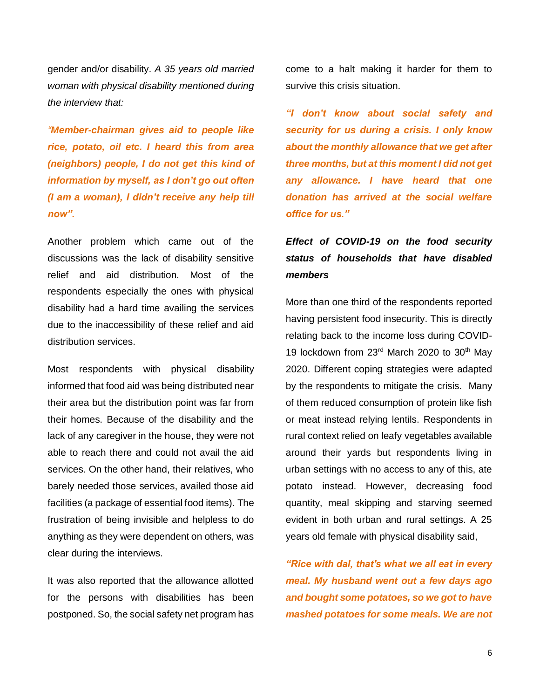gender and/or disability. *A 35 years old married woman with physical disability mentioned during the interview that:* 

*"Member-chairman gives aid to people like rice, potato, oil etc. I heard this from area (neighbors) people, I do not get this kind of information by myself, as I don't go out often (I am a woman), I didn't receive any help till now".* 

Another problem which came out of the discussions was the lack of disability sensitive relief and aid distribution. Most of the respondents especially the ones with physical disability had a hard time availing the services due to the inaccessibility of these relief and aid distribution services.

Most respondents with physical disability informed that food aid was being distributed near their area but the distribution point was far from their homes. Because of the disability and the lack of any caregiver in the house, they were not able to reach there and could not avail the aid services. On the other hand, their relatives, who barely needed those services, availed those aid facilities (a package of essential food items). The frustration of being invisible and helpless to do anything as they were dependent on others, was clear during the interviews.

It was also reported that the allowance allotted for the persons with disabilities has been postponed. So, the social safety net program has come to a halt making it harder for them to survive this crisis situation.

*"I don't know about social safety and security for us during a crisis. I only know about the monthly allowance that we get after three months, but at this moment I did not get any allowance. I have heard that one donation has arrived at the social welfare office for us."*

# *Effect of COVID-19 on the food security status of households that have disabled members*

More than one third of the respondents reported having persistent food insecurity. This is directly relating back to the income loss during COVID-19 lockdown from 23<sup>rd</sup> March 2020 to 30<sup>th</sup> May 2020. Different coping strategies were adapted by the respondents to mitigate the crisis. Many of them reduced consumption of protein like fish or meat instead relying lentils. Respondents in rural context relied on leafy vegetables available around their yards but respondents living in urban settings with no access to any of this, ate potato instead. However, decreasing food quantity, meal skipping and starving seemed evident in both urban and rural settings. A 25 years old female with physical disability said,

*"Rice with dal, that's what we all eat in every meal. My husband went out a few days ago and bought some potatoes, so we got to have mashed potatoes for some meals. We are not*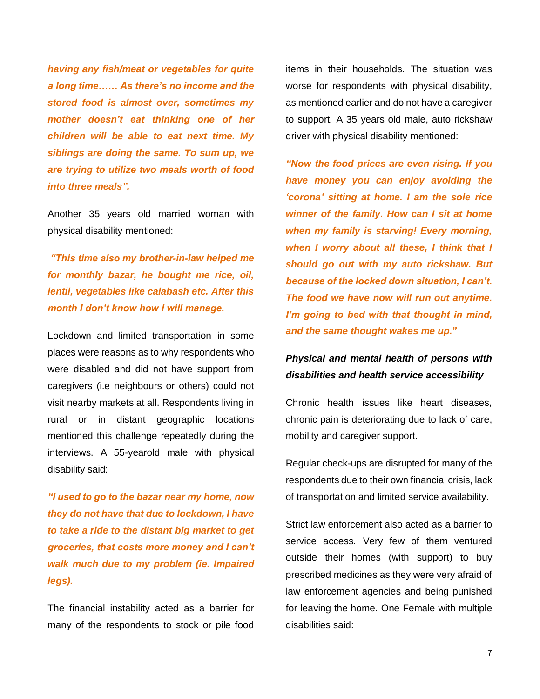*having any fish/meat or vegetables for quite a long time…… As there's no income and the stored food is almost over, sometimes my mother doesn't eat thinking one of her children will be able to eat next time. My siblings are doing the same. To sum up, we are trying to utilize two meals worth of food into three meals".*

Another 35 years old married woman with physical disability mentioned:

*"This time also my brother-in-law helped me for monthly bazar, he bought me rice, oil, lentil, vegetables like calabash etc. After this month I don't know how I will manage.* 

Lockdown and limited transportation in some places were reasons as to why respondents who were disabled and did not have support from caregivers (i.e neighbours or others) could not visit nearby markets at all. Respondents living in rural or in distant geographic locations mentioned this challenge repeatedly during the interviews. A 55-yearold male with physical disability said:

*"I used to go to the bazar near my home, now they do not have that due to lockdown, I have to take a ride to the distant big market to get groceries, that costs more money and I can't walk much due to my problem (ie. Impaired legs).* 

The financial instability acted as a barrier for many of the respondents to stock or pile food items in their households. The situation was worse for respondents with physical disability, as mentioned earlier and do not have a caregiver to support*.* A 35 years old male, auto rickshaw driver with physical disability mentioned:

*"Now the food prices are even rising. If you have money you can enjoy avoiding the 'corona' sitting at home. I am the sole rice winner of the family. How can I sit at home when my family is starving! Every morning, when I worry about all these, I think that I should go out with my auto rickshaw. But because of the locked down situation, I can't. The food we have now will run out anytime. I'm going to bed with that thought in mind, and the same thought wakes me up.***"**

# *Physical and mental health of persons with disabilities and health service accessibility*

Chronic health issues like heart diseases, chronic pain is deteriorating due to lack of care, mobility and caregiver support.

Regular check-ups are disrupted for many of the respondents due to their own financial crisis, lack of transportation and limited service availability.

Strict law enforcement also acted as a barrier to service access. Very few of them ventured outside their homes (with support) to buy prescribed medicines as they were very afraid of law enforcement agencies and being punished for leaving the home. One Female with multiple disabilities said: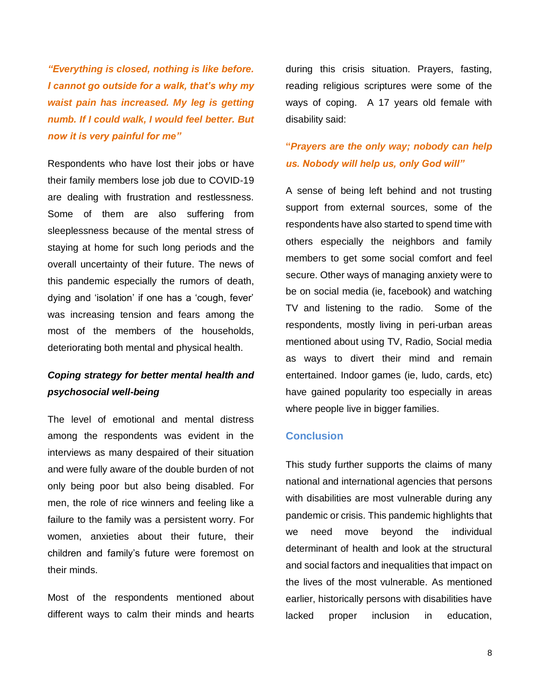*"Everything is closed, nothing is like before. I cannot go outside for a walk, that's why my waist pain has increased. My leg is getting numb. If I could walk, I would feel better. But now it is very painful for me"*

Respondents who have lost their jobs or have their family members lose job due to COVID-19 are dealing with frustration and restlessness. Some of them are also suffering from sleeplessness because of the mental stress of staying at home for such long periods and the overall uncertainty of their future. The news of this pandemic especially the rumors of death, dying and 'isolation' if one has a 'cough, fever' was increasing tension and fears among the most of the members of the households, deteriorating both mental and physical health.

### *Coping strategy for better mental health and psychosocial well-being*

The level of emotional and mental distress among the respondents was evident in the interviews as many despaired of their situation and were fully aware of the double burden of not only being poor but also being disabled. For men, the role of rice winners and feeling like a failure to the family was a persistent worry. For women, anxieties about their future, their children and family's future were foremost on their minds.

Most of the respondents mentioned about different ways to calm their minds and hearts during this crisis situation. Prayers, fasting, reading religious scriptures were some of the ways of coping. A 17 years old female with disability said:

# **"***Prayers are the only way; nobody can help us. Nobody will help us, only God will"*

A sense of being left behind and not trusting support from external sources, some of the respondents have also started to spend time with others especially the neighbors and family members to get some social comfort and feel secure. Other ways of managing anxiety were to be on social media (ie, facebook) and watching TV and listening to the radio. Some of the respondents, mostly living in peri-urban areas mentioned about using TV, Radio, Social media as ways to divert their mind and remain entertained. Indoor games (ie, ludo, cards, etc) have gained popularity too especially in areas where people live in bigger families.

### **Conclusion**

This study further supports the claims of many national and international agencies that persons with disabilities are most vulnerable during any pandemic or crisis. This pandemic highlights that we need move beyond the individual determinant of health and look at the structural and social factors and inequalities that impact on the lives of the most vulnerable. As mentioned earlier, historically persons with disabilities have lacked proper inclusion in education,